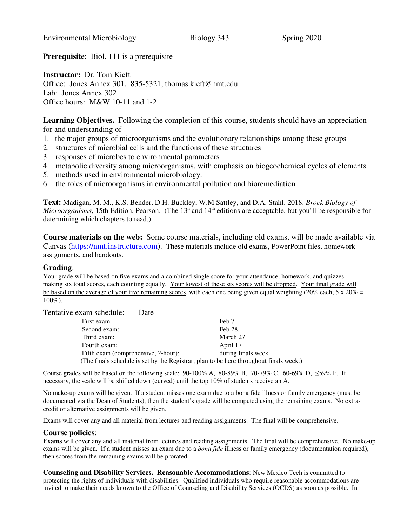**Prerequisite**: Biol. 111 is a prerequisite

**Instructor:** Dr. Tom Kieft Office: Jones Annex 301, 835-5321, thomas.kieft@nmt.edu Lab: Jones Annex 302 Office hours: M&W 10-11 and 1-2

**Learning Objectives.** Following the completion of this course, students should have an appreciation for and understanding of

- 1. the major groups of microorganisms and the evolutionary relationships among these groups
- 2. structures of microbial cells and the functions of these structures
- 3. responses of microbes to environmental parameters
- 4. metabolic diversity among microorganisms, with emphasis on biogeochemical cycles of elements
- 5. methods used in environmental microbiology.
- 6. the roles of microorganisms in environmental pollution and bioremediation

**Text:** Madigan, M. M., K.S. Bender, D.H. Buckley, W.M Sattley, and D.A. Stahl. 2018. *Brock Biology of Microorganisms*, 15th Edition, Pearson. (The 13<sup>h</sup> and 14<sup>th</sup> editions are acceptable, but you'll be responsible for determining which chapters to read.)

**Course materials on the web:** Some course materials, including old exams, will be made available via Canvas (https://nmt.instructure.com). These materials include old exams, PowerPoint files, homework assignments, and handouts.

## **Grading**:

Your grade will be based on five exams and a combined single score for your attendance, homework, and quizzes, making six total scores, each counting equally. Your lowest of these six scores will be dropped. Your final grade will be based on the average of your five remaining scores, with each one being given equal weighting (20% each; 5 x 20% = 100%).

| Tentative exam schedule:<br>Date    |                                                                                        |
|-------------------------------------|----------------------------------------------------------------------------------------|
| First exam:                         | Feb 7                                                                                  |
| Second exam:                        | Feb 28.                                                                                |
| Third exam:                         | March 27                                                                               |
| Fourth exam:                        | April 17                                                                               |
| Fifth exam (comprehensive, 2-hour): | during finals week.                                                                    |
|                                     | (The finals schedule is set by the Registrar; plan to be here throughout finals week.) |

Course grades will be based on the following scale:  $90-100\%$  A,  $80-89\%$  B,  $70-79\%$  C,  $60-69\%$  D,  $\leq 59\%$  F. If necessary, the scale will be shifted down (curved) until the top 10% of students receive an A.

No make-up exams will be given. If a student misses one exam due to a bona fide illness or family emergency (must be documented via the Dean of Students), then the student's grade will be computed using the remaining exams. No extracredit or alternative assignments will be given.

Exams will cover any and all material from lectures and reading assignments. The final will be comprehensive.

## **Course policies**:

**Exams** will cover any and all material from lectures and reading assignments. The final will be comprehensive. No make-up exams will be given. If a student misses an exam due to a *bona fide* illness or family emergency (documentation required), then scores from the remaining exams will be prorated.

**Counseling and Disability Services. Reasonable Accommodations**: New Mexico Tech is committed to protecting the rights of individuals with disabilities. Qualified individuals who require reasonable accommodations are invited to make their needs known to the Office of Counseling and Disability Services (OCDS) as soon as possible. In